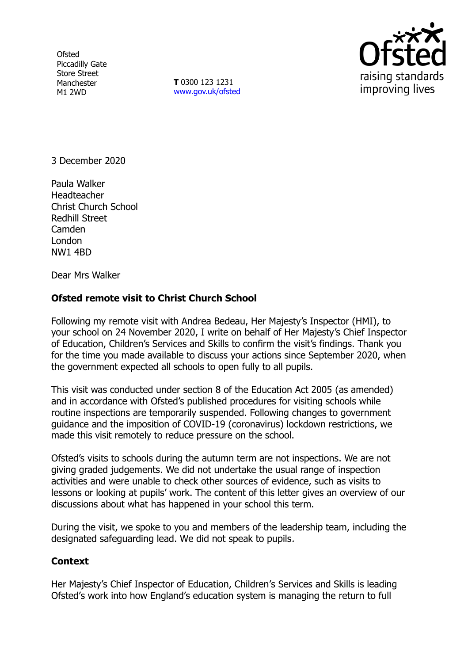**Ofsted** Piccadilly Gate Store Street Manchester M1 2WD

**T** 0300 123 1231 [www.gov.uk/ofsted](http://www.gov.uk/ofsted)



3 December 2020

Paula Walker **Headteacher** Christ Church School Redhill Street Camden London NW1 4BD

Dear Mrs Walker

## **Ofsted remote visit to Christ Church School**

Following my remote visit with Andrea Bedeau, Her Majesty's Inspector (HMI), to your school on 24 November 2020, I write on behalf of Her Majesty's Chief Inspector of Education, Children's Services and Skills to confirm the visit's findings. Thank you for the time you made available to discuss your actions since September 2020, when the government expected all schools to open fully to all pupils.

This visit was conducted under section 8 of the Education Act 2005 (as amended) and in accordance with Ofsted's published procedures for visiting schools while routine inspections are temporarily suspended. Following changes to government guidance and the imposition of COVID-19 (coronavirus) lockdown restrictions, we made this visit remotely to reduce pressure on the school.

Ofsted's visits to schools during the autumn term are not inspections. We are not giving graded judgements. We did not undertake the usual range of inspection activities and were unable to check other sources of evidence, such as visits to lessons or looking at pupils' work. The content of this letter gives an overview of our discussions about what has happened in your school this term.

During the visit, we spoke to you and members of the leadership team, including the designated safeguarding lead. We did not speak to pupils.

## **Context**

Her Majesty's Chief Inspector of Education, Children's Services and Skills is leading Ofsted's work into how England's education system is managing the return to full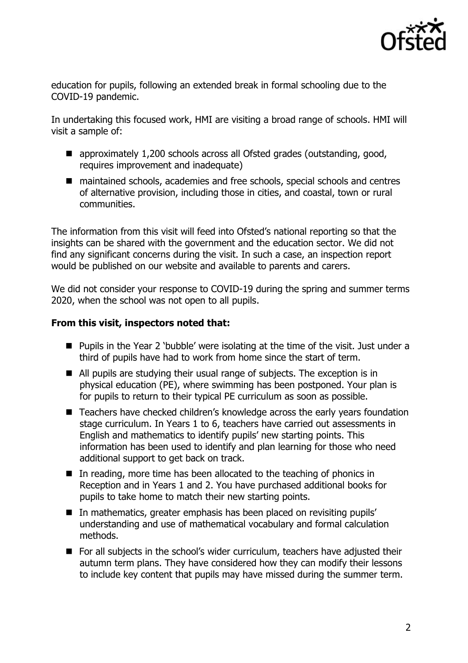

education for pupils, following an extended break in formal schooling due to the COVID-19 pandemic.

In undertaking this focused work, HMI are visiting a broad range of schools. HMI will visit a sample of:

- approximately 1,200 schools across all Ofsted grades (outstanding, good, requires improvement and inadequate)
- maintained schools, academies and free schools, special schools and centres of alternative provision, including those in cities, and coastal, town or rural communities.

The information from this visit will feed into Ofsted's national reporting so that the insights can be shared with the government and the education sector. We did not find any significant concerns during the visit. In such a case, an inspection report would be published on our website and available to parents and carers.

We did not consider your response to COVID-19 during the spring and summer terms 2020, when the school was not open to all pupils.

## **From this visit, inspectors noted that:**

- Pupils in the Year 2 'bubble' were isolating at the time of the visit. Just under a third of pupils have had to work from home since the start of term.
- All pupils are studying their usual range of subjects. The exception is in physical education (PE), where swimming has been postponed. Your plan is for pupils to return to their typical PE curriculum as soon as possible.
- Teachers have checked children's knowledge across the early years foundation stage curriculum. In Years 1 to 6, teachers have carried out assessments in English and mathematics to identify pupils' new starting points. This information has been used to identify and plan learning for those who need additional support to get back on track.
- $\blacksquare$  In reading, more time has been allocated to the teaching of phonics in Reception and in Years 1 and 2. You have purchased additional books for pupils to take home to match their new starting points.
- In mathematics, greater emphasis has been placed on revisiting pupils' understanding and use of mathematical vocabulary and formal calculation methods.
- For all subjects in the school's wider curriculum, teachers have adjusted their autumn term plans. They have considered how they can modify their lessons to include key content that pupils may have missed during the summer term.